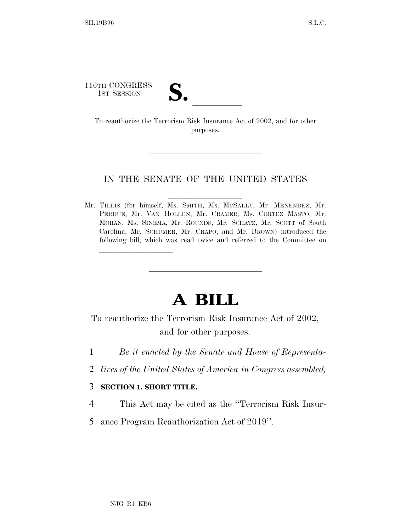116TH CONGRESS

TH CONGRESS<br>
1ST SESSION<br>
To reauthorize the Terrorism Risk Insurance Act of 2002, and for other purposes.

## IN THE SENATE OF THE UNITED STATES

Mr. TILLIS (for himself, Ms. SMITH, Ms. MCSALLY, Mr. MENENDEZ, Mr. PERDUE, Mr. VAN HOLLEN, Mr. CRAMER, Ms. CORTEZ MASTO, Mr. MORAN, Ms. SINEMA, Mr. ROUNDS, Mr. SCHATZ, Mr. SCOTT of South Carolina, Mr. SCHUMER, Mr. CRAPO, and Mr. BROWN) introduced the following bill; which was read twice and referred to the Committee on

## **A BILL**

To reauthorize the Terrorism Risk Insurance Act of 2002, and for other purposes.

- 1 *Be it enacted by the Senate and House of Representa-*
- 2 *tives of the United States of America in Congress assembled,*

## 3 **SECTION 1. SHORT TITLE.**

lle and a second control of the second control of the second control of the second control of the second control of the second control of the second control of the second control of the second control of the second control

- 4 This Act may be cited as the ''Terrorism Risk Insur-
- 5 ance Program Reauthorization Act of 2019''.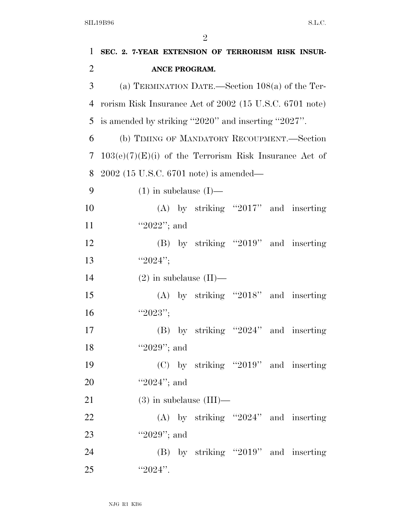| 1              | SEC. 2. 7-YEAR EXTENSION OF TERRORISM RISK INSUR-        |
|----------------|----------------------------------------------------------|
| $\overline{2}$ | ANCE PROGRAM.                                            |
| 3              | (a) TERMINATION DATE.—Section $108(a)$ of the Ter-       |
| 4              | rorism Risk Insurance Act of 2002 (15 U.S.C. 6701 note)  |
| 5              | is amended by striking "2020" and inserting "2027".      |
| 6              | (b) TIMING OF MANDATORY RECOUPMENT.—Section              |
| 7              | $103(e)(7)(E)(i)$ of the Terrorism Risk Insurance Act of |
| 8              | $2002$ (15 U.S.C. 6701 note) is amended—                 |
| 9              | $(1)$ in subclause $(I)$ —                               |
| 10             | $(A)$ by striking "2017" and inserting                   |
| 11             | "2022"; and                                              |
| 12             | (B) by striking "2019" and inserting                     |
| 13             | " $2024$ ";                                              |
| 14             | $(2)$ in subclause $(II)$ —                              |
| 15             | $(A)$ by striking "2018" and inserting                   |
| 16             | " $2023"$ ;                                              |
| 17             | $(B)$ by striking "2024" and inserting                   |
| 18             | "2029"; and                                              |
| 19             | $(C)$ by striking "2019" and inserting                   |
| 20             | " $2024$ "; and                                          |
| 21             | $(3)$ in subclause $(III)$ —                             |
| 22             | (A) by striking "2024" and inserting                     |
| 23             | "2029"; and                                              |
| 24             | $(B)$ by striking "2019" and inserting                   |
| 25             | " $2024$ ".                                              |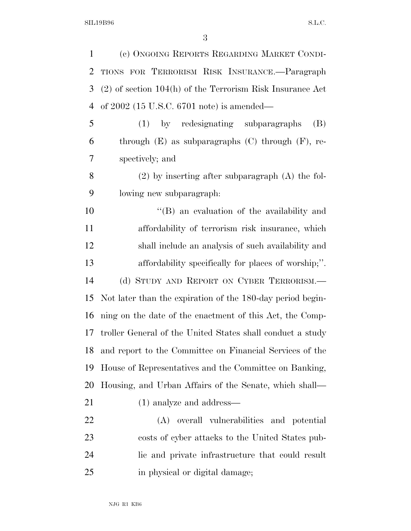SIL19B96 S.L.C.

| $\mathbf{1}$   | (c) ONGOING REPORTS REGARDING MARKET CONDI-                 |
|----------------|-------------------------------------------------------------|
| 2              | TIONS FOR TERRORISM RISK INSURANCE.-Paragraph               |
| 3              | $(2)$ of section 104(h) of the Terrorism Risk Insurance Act |
| $\overline{4}$ | of $2002$ (15 U.S.C. 6701 note) is amended—                 |
| 5              | (1) by redesignating subparagraphs<br>(B)                   |
| 6              | through $(E)$ as subparagraphs $(C)$ through $(F)$ , re-    |
| 7              | spectively; and                                             |
| 8              | $(2)$ by inserting after subparagraph $(A)$ the fol-        |
| 9              | lowing new subparagraph:                                    |
| 10             | "(B) an evaluation of the availability and                  |
| 11             | affordability of terrorism risk insurance, which            |
| 12             | shall include an analysis of such availability and          |
| 13             | affordability specifically for places of worship;".         |
| 14             | (d) STUDY AND REPORT ON CYBER TERRORISM.                    |
| 15             | Not later than the expiration of the 180-day period begin-  |
| 16             | ning on the date of the enactment of this Act, the Comp-    |
| 17             | troller General of the United States shall conduct a study  |
| 18             | and report to the Committee on Financial Services of the    |
| 19             | House of Representatives and the Committee on Banking,      |
| <b>20</b>      | Housing, and Urban Affairs of the Senate, which shall—      |
| 21             | $(1)$ analyze and address—                                  |
| 22             | overall vulnerabilities and potential<br>(A)                |
| 23             | costs of cyber attacks to the United States pub-            |
| 24             | lic and private infrastructure that could result            |
| 25             | in physical or digital damage;                              |